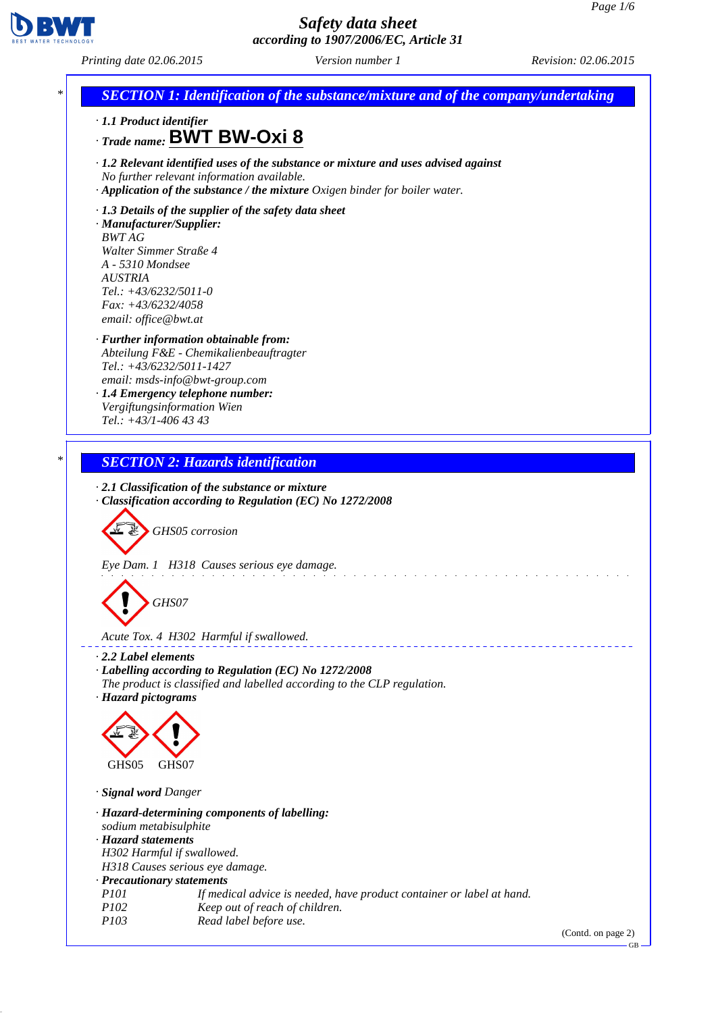

*Printing date 02.06.2015 Version number 1 Revision: 02.06.2015*



(Contd. on page 2)

GB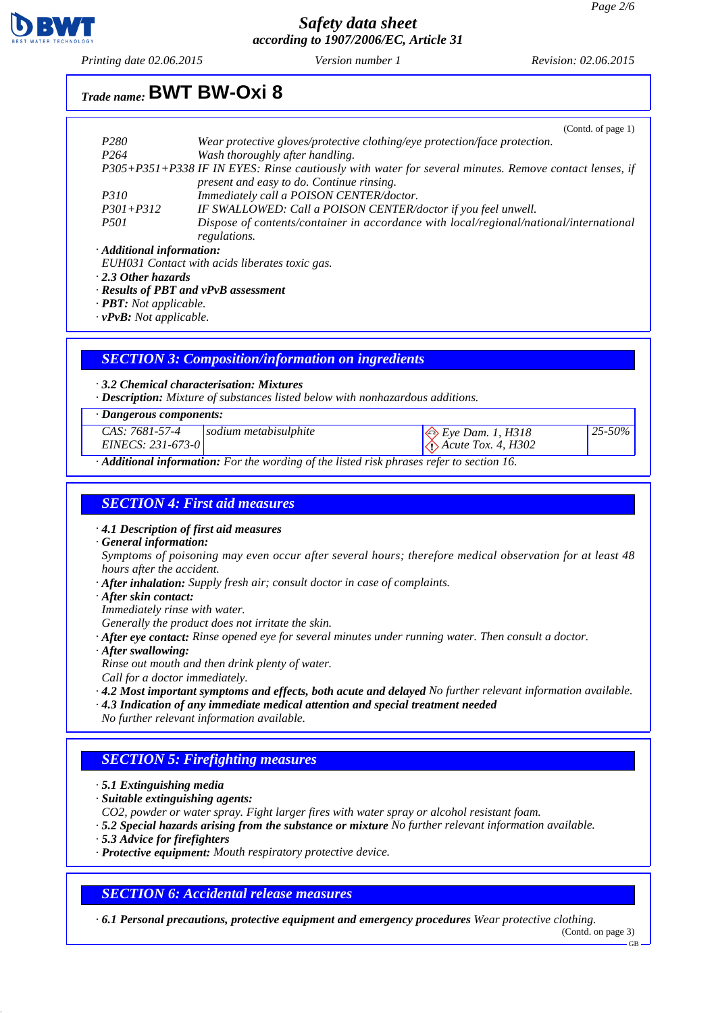*25-50%*



### *Safety data sheet according to 1907/2006/EC, Article 31*

*Printing date 02.06.2015 Version number 1 Revision: 02.06.2015*

# *Trade name:* **BWT BW-Oxi 8**

|                                                                                                       | (Contd. of page 1)                                                                     |  |
|-------------------------------------------------------------------------------------------------------|----------------------------------------------------------------------------------------|--|
| P <sub>280</sub>                                                                                      | Wear protective gloves/protective clothing/eye protection/face protection.             |  |
| P <sub>264</sub>                                                                                      | Wash thoroughly after handling.                                                        |  |
| P305+P351+P338 IF IN EYES: Rinse cautiously with water for several minutes. Remove contact lenses, if |                                                                                        |  |
|                                                                                                       | present and easy to do. Continue rinsing.                                              |  |
| <i>P310</i>                                                                                           | Immediately call a POISON CENTER/doctor.                                               |  |
| $P301 + P312$                                                                                         | IF SWALLOWED: Call a POISON CENTER/doctor if you feel unwell.                          |  |
| <i>P501</i>                                                                                           | Dispose of contents/container in accordance with local/regional/national/international |  |
|                                                                                                       | regulations.                                                                           |  |
| · Additional information:                                                                             |                                                                                        |  |

*EUH031 Contact with acids liberates toxic gas.*

*· 2.3 Other hazards*

*· Results of PBT and vPvB assessment*

*· PBT: Not applicable.*

*· vPvB: Not applicable.*

#### *SECTION 3: Composition/information on ingredients*

#### *· 3.2 Chemical characterisation: Mixtures*

*· Description: Mixture of substances listed below with nonhazardous additions.*

#### *· Dangerous components:*

*CAS: 7681-57-4* **sodium metabisulphite** Eye Dam. 1, H318

*· Additional information: For the wording of the listed risk phrases refer to section 16.*

# *SECTION 4: First aid measures*

*· 4.1 Description of first aid measures*

*· General information:*

*Symptoms of poisoning may even occur after several hours; therefore medical observation for at least 48 hours after the accident.*

 *Acute Tox. 4, H302*

- *· After inhalation: Supply fresh air; consult doctor in case of complaints.*
- *· After skin contact:*
- *Immediately rinse with water.*

*Generally the product does not irritate the skin.*

- *· After eye contact: Rinse opened eye for several minutes under running water. Then consult a doctor.*
- *· After swallowing:*
- *Rinse out mouth and then drink plenty of water.*
- *Call for a doctor immediately.*
- *· 4.2 Most important symptoms and effects, both acute and delayed No further relevant information available.*
- *· 4.3 Indication of any immediate medical attention and special treatment needed*
- *No further relevant information available.*

### *SECTION 5: Firefighting measures*

- *· 5.1 Extinguishing media*
- *· Suitable extinguishing agents:*
- *CO2, powder or water spray. Fight larger fires with water spray or alcohol resistant foam.*
- *· 5.2 Special hazards arising from the substance or mixture No further relevant information available.*
- *· 5.3 Advice for firefighters*
- *· Protective equipment: Mouth respiratory protective device.*

#### *SECTION 6: Accidental release measures*

*· 6.1 Personal precautions, protective equipment and emergency procedures Wear protective clothing.*

(Contd. on page 3)

GB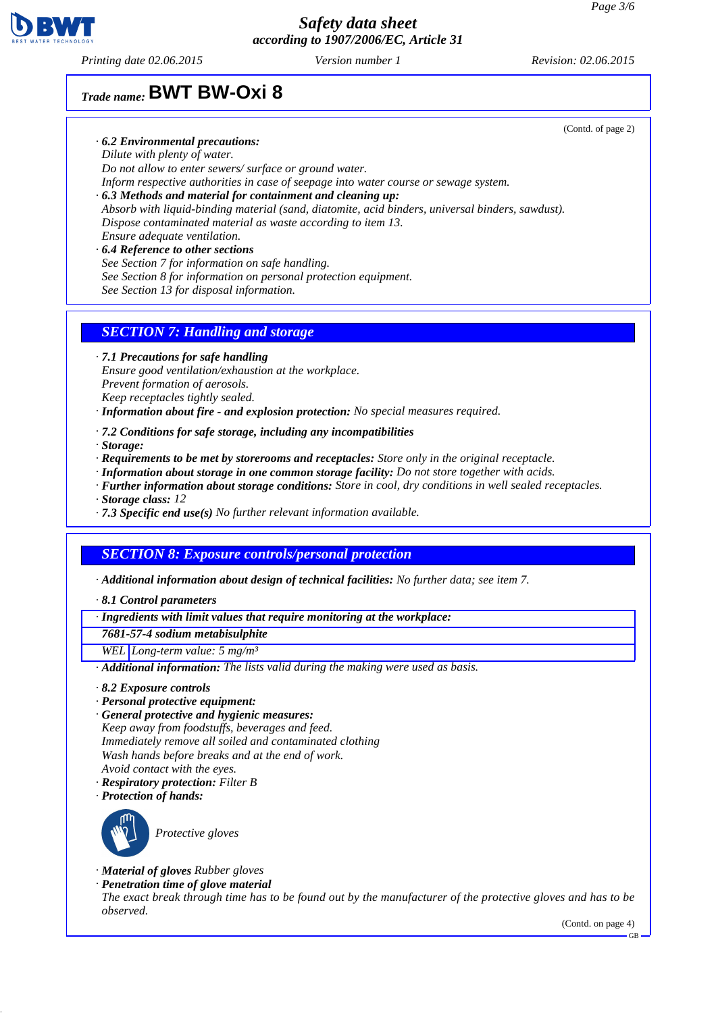

*Printing date 02.06.2015 Version number 1 Revision: 02.06.2015*

# *Trade name:* **BWT BW-Oxi 8**

- *· 6.2 Environmental precautions:*
- *Dilute with plenty of water.*

*Do not allow to enter sewers/ surface or ground water. Inform respective authorities in case of seepage into water course or sewage system.*

- *· 6.3 Methods and material for containment and cleaning up: Absorb with liquid-binding material (sand, diatomite, acid binders, universal binders, sawdust). Dispose contaminated material as waste according to item 13. Ensure adequate ventilation.*
- *· 6.4 Reference to other sections See Section 7 for information on safe handling. See Section 8 for information on personal protection equipment. See Section 13 for disposal information.*

### *SECTION 7: Handling and storage*

*· 7.1 Precautions for safe handling*

*Ensure good ventilation/exhaustion at the workplace.*

*Prevent formation of aerosols. Keep receptacles tightly sealed.*

*· Information about fire - and explosion protection: No special measures required.*

- *· 7.2 Conditions for safe storage, including any incompatibilities*
- *· Storage:*
- *· Requirements to be met by storerooms and receptacles: Store only in the original receptacle.*
- *· Information about storage in one common storage facility: Do not store together with acids.*
- *· Further information about storage conditions: Store in cool, dry conditions in well sealed receptacles.*
- *· Storage class: 12*
- *· 7.3 Specific end use(s) No further relevant information available.*

### *SECTION 8: Exposure controls/personal protection*

*· Additional information about design of technical facilities: No further data; see item 7.*

*· 8.1 Control parameters*

*· Ingredients with limit values that require monitoring at the workplace:*

*7681-57-4 sodium metabisulphite*

*WEL Long-term value: 5 mg/m³*

*· Additional information: The lists valid during the making were used as basis.*

- *· 8.2 Exposure controls*
- *· Personal protective equipment:*
- *· General protective and hygienic measures: Keep away from foodstuffs, beverages and feed. Immediately remove all soiled and contaminated clothing Wash hands before breaks and at the end of work. Avoid contact with the eyes.*
- *· Respiratory protection: Filter B*
- *· Protection of hands:*



*Protective gloves*

- *· Material of gloves Rubber gloves*
- *· Penetration time of glove material The exact break through time has to be found out by the manufacturer of the protective gloves and has to be observed.*

(Contd. on page 4)

(Contd. of page 2)

GB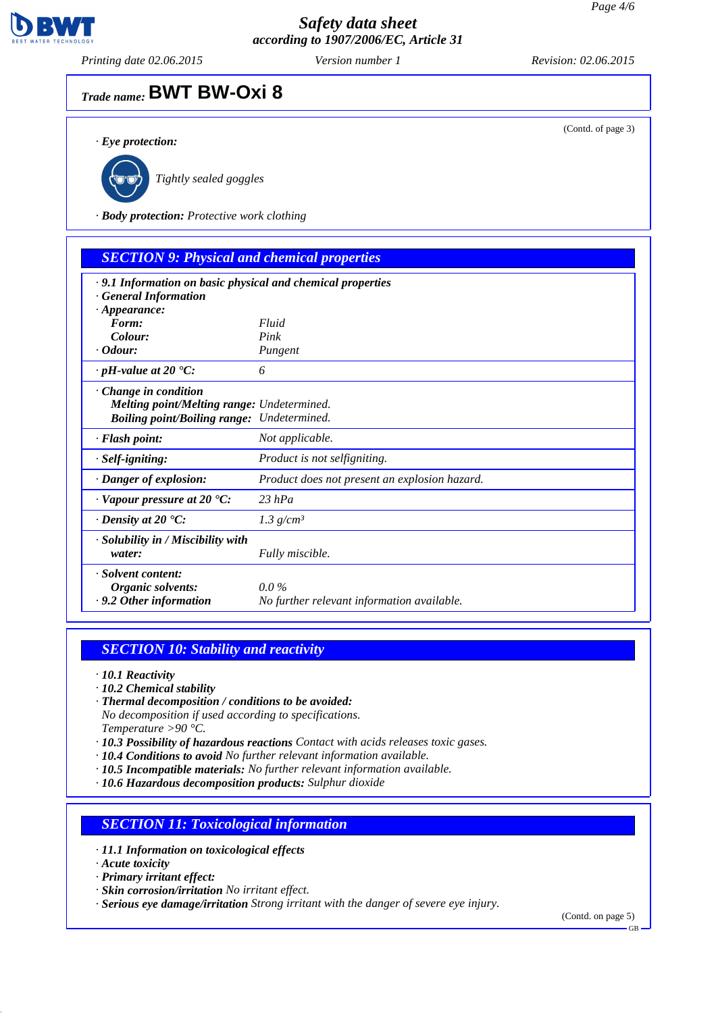

*Printing date 02.06.2015 Version number 1 Revision: 02.06.2015*

(Contd. of page 3)

# *Trade name:* **BWT BW-Oxi 8**

*· Eye protection:*



*Tightly sealed goggles*

*· Body protection: Protective work clothing*

| <b>SECTION 9: Physical and chemical properties</b>                                                                      |                                                       |
|-------------------------------------------------------------------------------------------------------------------------|-------------------------------------------------------|
| .9.1 Information on basic physical and chemical properties<br><b>General Information</b>                                |                                                       |
| $\cdot$ Appearance:<br>Form:                                                                                            | Fluid                                                 |
| Colour:                                                                                                                 | Pink                                                  |
| $\cdot$ Odour:                                                                                                          | Pungent                                               |
| $\cdot$ pH-value at 20 $\textdegree$ C:                                                                                 | 6                                                     |
| $\cdot$ Change in condition<br>Melting point/Melting range: Undetermined.<br>Boiling point/Boiling range: Undetermined. |                                                       |
| · Flash point:                                                                                                          | Not applicable.                                       |
| $\cdot$ Self-igniting:                                                                                                  | Product is not selfigniting.                          |
| $\cdot$ Danger of explosion:                                                                                            | Product does not present an explosion hazard.         |
| $\cdot$ Vapour pressure at 20 $\cdot$ C:                                                                                | $23$ hPa                                              |
| $\cdot$ Density at 20 $\cdot$ C:                                                                                        | 1.3 $g/cm^3$                                          |
| $\cdot$ Solubility in / Miscibility with<br>water:                                                                      | Fully miscible.                                       |
| · Solvent content:<br>Organic solvents:<br>$\cdot$ 9.2 Other information                                                | $0.0\%$<br>No further relevant information available. |

# *SECTION 10: Stability and reactivity*

- *· 10.1 Reactivity*
- *· 10.2 Chemical stability*
- *· Thermal decomposition / conditions to be avoided: No decomposition if used according to specifications. Temperature >90 °C.*
- *· 10.3 Possibility of hazardous reactions Contact with acids releases toxic gases.*
- *· 10.4 Conditions to avoid No further relevant information available.*
- *· 10.5 Incompatible materials: No further relevant information available.*
- *· 10.6 Hazardous decomposition products: Sulphur dioxide*

### *SECTION 11: Toxicological information*

- *· 11.1 Information on toxicological effects*
- *· Acute toxicity*
- *· Primary irritant effect:*
- *· Skin corrosion/irritation No irritant effect.*
- *· Serious eye damage/irritation Strong irritant with the danger of severe eye injury.*

(Contd. on page 5)

GB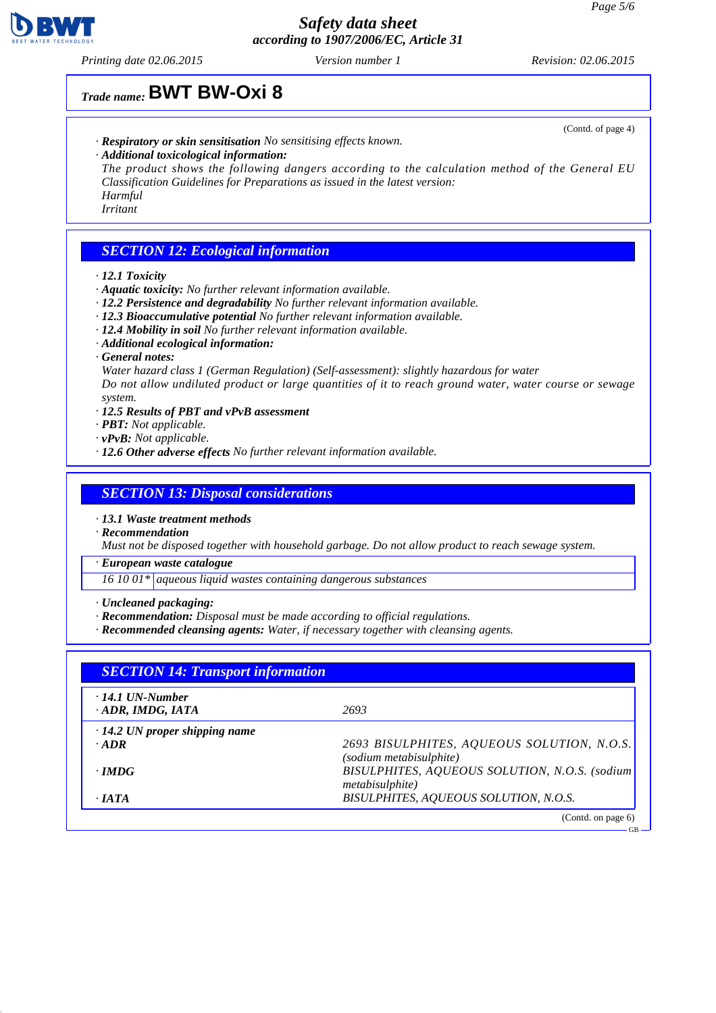

*Printing date 02.06.2015 Version number 1 Revision: 02.06.2015*

# *Trade name:* **BWT BW-Oxi 8**

- *· Respiratory or skin sensitisation No sensitising effects known.*
- *· Additional toxicological information:*

*The product shows the following dangers according to the calculation method of the General EU Classification Guidelines for Preparations as issued in the latest version: Harmful*

*Irritant*

## *SECTION 12: Ecological information*

- *· 12.1 Toxicity*
- *· Aquatic toxicity: No further relevant information available.*
- *· 12.2 Persistence and degradability No further relevant information available.*
- *· 12.3 Bioaccumulative potential No further relevant information available.*
- *· 12.4 Mobility in soil No further relevant information available.*
- *· Additional ecological information:*
- *· General notes:*
- *Water hazard class 1 (German Regulation) (Self-assessment): slightly hazardous for water*

*Do not allow undiluted product or large quantities of it to reach ground water, water course or sewage system.*

- *· 12.5 Results of PBT and vPvB assessment*
- *· PBT: Not applicable.*
- *· vPvB: Not applicable.*
- *· 12.6 Other adverse effects No further relevant information available.*

#### *SECTION 13: Disposal considerations*

*· 13.1 Waste treatment methods*

*· Recommendation*

*Must not be disposed together with household garbage. Do not allow product to reach sewage system.*

*· European waste catalogue*

*16 10 01\* aqueous liquid wastes containing dangerous substances*

- *· Uncleaned packaging:*
- *· Recommendation: Disposal must be made according to official regulations.*
- *· Recommended cleansing agents: Water, if necessary together with cleansing agents.*

| <b>SECTION 14: Transport information</b>          |                                               |  |
|---------------------------------------------------|-----------------------------------------------|--|
| $\cdot$ 14.1 UN-Number<br>$\cdot$ ADR, IMDG, IATA | 2693                                          |  |
| $\cdot$ 14.2 UN proper shipping name              |                                               |  |
| $\cdot$ ADR                                       | 2693 BISULPHITES, AQUEOUS SOLUTION, N.O.S.    |  |
|                                                   | (sodium metabisulphite)                       |  |
| $\cdot$ IMDG                                      | BISULPHITES, AQUEOUS SOLUTION, N.O.S. (sodium |  |
|                                                   | metabisulphite)                               |  |
| $\cdot$ JATA                                      | BISULPHITES, AQUEOUS SOLUTION, N.O.S.         |  |

(Contd. of page 4)